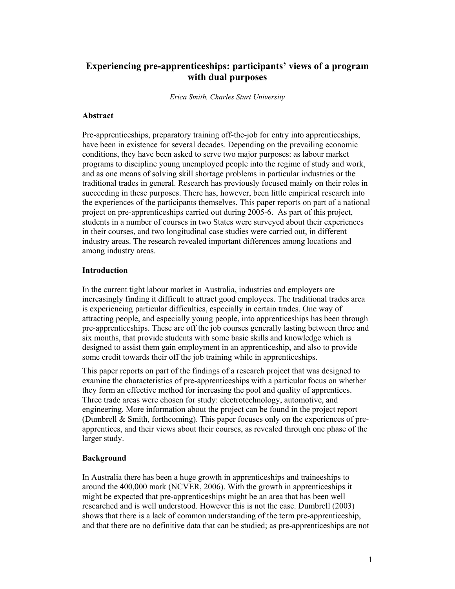# **Experiencing pre-apprenticeships: participants' views of a program with dual purposes**

*Erica Smith, Charles Sturt University* 

#### **Abstract**

Pre-apprenticeships, preparatory training off-the-job for entry into apprenticeships, have been in existence for several decades. Depending on the prevailing economic conditions, they have been asked to serve two major purposes: as labour market programs to discipline young unemployed people into the regime of study and work, and as one means of solving skill shortage problems in particular industries or the traditional trades in general. Research has previously focused mainly on their roles in succeeding in these purposes. There has, however, been little empirical research into the experiences of the participants themselves. This paper reports on part of a national project on pre-apprenticeships carried out during 2005-6. As part of this project, students in a number of courses in two States were surveyed about their experiences in their courses, and two longitudinal case studies were carried out, in different industry areas. The research revealed important differences among locations and among industry areas.

## **Introduction**

In the current tight labour market in Australia, industries and employers are increasingly finding it difficult to attract good employees. The traditional trades area is experiencing particular difficulties, especially in certain trades. One way of attracting people, and especially young people, into apprenticeships has been through pre-apprenticeships. These are off the job courses generally lasting between three and six months, that provide students with some basic skills and knowledge which is designed to assist them gain employment in an apprenticeship, and also to provide some credit towards their off the job training while in apprenticeships.

This paper reports on part of the findings of a research project that was designed to examine the characteristics of pre-apprenticeships with a particular focus on whether they form an effective method for increasing the pool and quality of apprentices. Three trade areas were chosen for study: electrotechnology, automotive, and engineering. More information about the project can be found in the project report (Dumbrell & Smith, forthcoming). This paper focuses only on the experiences of preapprentices, and their views about their courses, as revealed through one phase of the larger study.

## **Background**

In Australia there has been a huge growth in apprenticeships and traineeships to around the 400,000 mark (NCVER, 2006). With the growth in apprenticeships it might be expected that pre-apprenticeships might be an area that has been well researched and is well understood. However this is not the case. Dumbrell (2003) shows that there is a lack of common understanding of the term pre-apprenticeship, and that there are no definitive data that can be studied; as pre-apprenticeships are not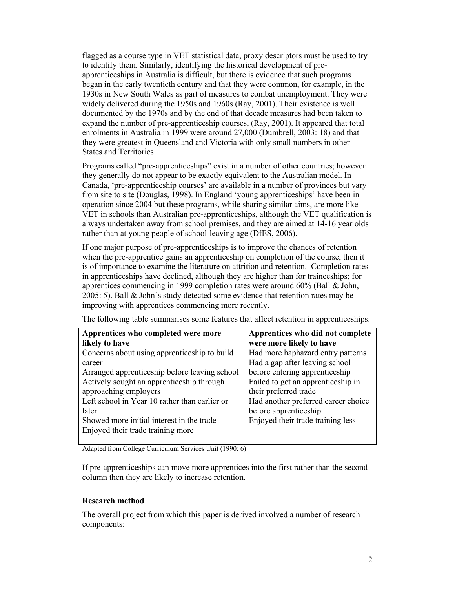flagged as a course type in VET statistical data, proxy descriptors must be used to try to identify them. Similarly, identifying the historical development of preapprenticeships in Australia is difficult, but there is evidence that such programs began in the early twentieth century and that they were common, for example, in the 1930s in New South Wales as part of measures to combat unemployment. They were widely delivered during the 1950s and 1960s (Ray, 2001). Their existence is well documented by the 1970s and by the end of that decade measures had been taken to expand the number of pre-apprenticeship courses, (Ray, 2001). It appeared that total enrolments in Australia in 1999 were around 27,000 (Dumbrell, 2003: 18) and that they were greatest in Queensland and Victoria with only small numbers in other States and Territories.

Programs called "pre-apprenticeships" exist in a number of other countries; however they generally do not appear to be exactly equivalent to the Australian model. In Canada, 'pre-apprenticeship courses' are available in a number of provinces but vary from site to site (Douglas, 1998). In England 'young apprenticeships' have been in operation since 2004 but these programs, while sharing similar aims, are more like VET in schools than Australian pre-apprenticeships, although the VET qualification is always undertaken away from school premises, and they are aimed at 14-16 year olds rather than at young people of school-leaving age (DfES, 2006).

If one major purpose of pre-apprenticeships is to improve the chances of retention when the pre-apprentice gains an apprenticeship on completion of the course, then it is of importance to examine the literature on attrition and retention. Completion rates in apprenticeships have declined, although they are higher than for traineeships; for apprentices commencing in 1999 completion rates were around 60% (Ball & John, 2005: 5). Ball & John's study detected some evidence that retention rates may be improving with apprentices commencing more recently.

| Apprentices who completed were more<br>likely to have | Apprentices who did not complete<br>were more likely to have |
|-------------------------------------------------------|--------------------------------------------------------------|
| Concerns about using apprenticeship to build          | Had more haphazard entry patterns                            |
| career                                                | Had a gap after leaving school                               |
| Arranged apprenticeship before leaving school         | before entering apprenticeship                               |
| Actively sought an apprenticeship through             | Failed to get an apprenticeship in                           |
| approaching employers                                 | their preferred trade                                        |
| Left school in Year 10 rather than earlier or         | Had another preferred career choice                          |
| later                                                 | before apprenticeship                                        |
| Showed more initial interest in the trade             | Enjoyed their trade training less                            |
| Enjoyed their trade training more                     |                                                              |

The following table summarises some features that affect retention in apprenticeships.

Adapted from College Curriculum Services Unit (1990: 6)

If pre-apprenticeships can move more apprentices into the first rather than the second column then they are likely to increase retention.

#### **Research method**

The overall project from which this paper is derived involved a number of research components: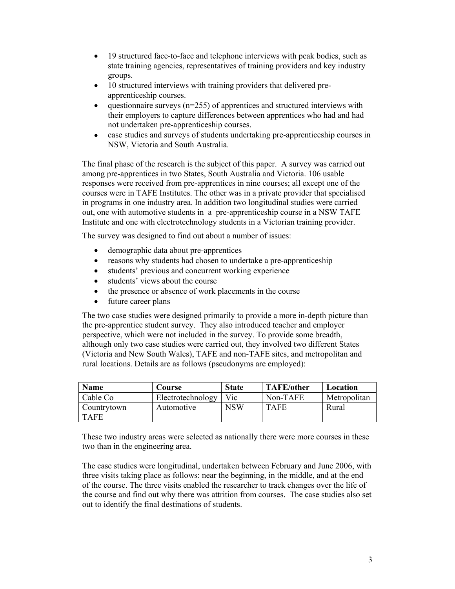- 19 structured face-to-face and telephone interviews with peak bodies, such as state training agencies, representatives of training providers and key industry groups.
- 10 structured interviews with training providers that delivered preapprenticeship courses.
- questionnaire surveys ( $n=255$ ) of apprentices and structured interviews with their employers to capture differences between apprentices who had and had not undertaken pre-apprenticeship courses.
- case studies and surveys of students undertaking pre-apprenticeship courses in NSW, Victoria and South Australia.

The final phase of the research is the subject of this paper. A survey was carried out among pre-apprentices in two States, South Australia and Victoria. 106 usable responses were received from pre-apprentices in nine courses; all except one of the courses were in TAFE Institutes. The other was in a private provider that specialised in programs in one industry area. In addition two longitudinal studies were carried out, one with automotive students in a pre-apprenticeship course in a NSW TAFE Institute and one with electrotechnology students in a Victorian training provider.

The survey was designed to find out about a number of issues:

- demographic data about pre-apprentices
- reasons why students had chosen to undertake a pre-apprenticeship
- students' previous and concurrent working experience
- students' views about the course
- the presence or absence of work placements in the course
- future career plans

The two case studies were designed primarily to provide a more in-depth picture than the pre-apprentice student survey. They also introduced teacher and employer perspective, which were not included in the survey. To provide some breadth, although only two case studies were carried out, they involved two different States (Victoria and New South Wales), TAFE and non-TAFE sites, and metropolitan and rural locations. Details are as follows (pseudonyms are employed):

| Name        | <b>Course</b>     | <b>State</b> | <b>TAFE/other</b> | Location     |
|-------------|-------------------|--------------|-------------------|--------------|
| Cable Co    | Electrotechnology | Vic          | Non-TAFE          | Metropolitan |
| Countrytown | Automotive        | NSW          | <b>TAFE</b>       | Rural        |
| <b>TAFE</b> |                   |              |                   |              |

These two industry areas were selected as nationally there were more courses in these two than in the engineering area.

The case studies were longitudinal, undertaken between February and June 2006, with three visits taking place as follows: near the beginning, in the middle, and at the end of the course. The three visits enabled the researcher to track changes over the life of the course and find out why there was attrition from courses. The case studies also set out to identify the final destinations of students.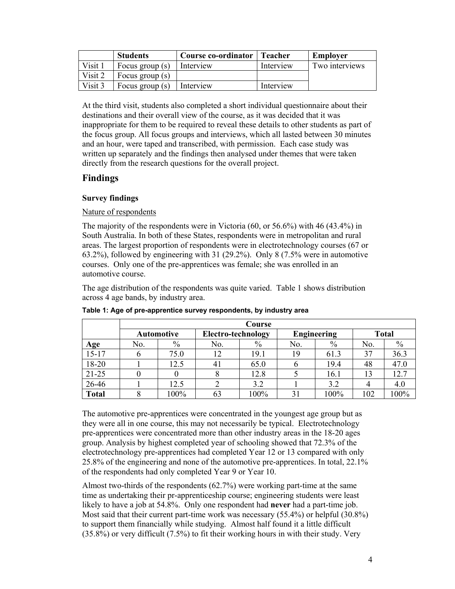|         | <b>Students</b>   | Course co-ordinator | <b>Teacher</b> | Employer       |
|---------|-------------------|---------------------|----------------|----------------|
| Visit 1 | Focus group $(s)$ | Interview           | Interview      | Two interviews |
| Visit 2 | Focus group $(s)$ |                     |                |                |
| Visit 3 | Focus group (s)   | Interview           | Interview      |                |

At the third visit, students also completed a short individual questionnaire about their destinations and their overall view of the course, as it was decided that it was inappropriate for them to be required to reveal these details to other students as part of the focus group. All focus groups and interviews, which all lasted between 30 minutes and an hour, were taped and transcribed, with permission. Each case study was written up separately and the findings then analysed under themes that were taken directly from the research questions for the overall project.

# **Findings**

# **Survey findings**

# Nature of respondents

The majority of the respondents were in Victoria (60, or 56.6%) with 46 (43.4%) in South Australia. In both of these States, respondents were in metropolitan and rural areas. The largest proportion of respondents were in electrotechnology courses (67 or 63.2%), followed by engineering with 31 (29.2%). Only 8 (7.5% were in automotive courses. Only one of the pre-apprentices was female; she was enrolled in an automotive course.

The age distribution of the respondents was quite varied. Table 1 shows distribution across 4 age bands, by industry area.

|              | Course |                   |                    |      |     |                    |              |         |
|--------------|--------|-------------------|--------------------|------|-----|--------------------|--------------|---------|
|              |        | <b>Automotive</b> | Electro-technology |      |     | <b>Engineering</b> | <b>Total</b> |         |
| Age          | No.    | $\frac{0}{0}$     | No.                | $\%$ | No. | $\%$               | No.          | $\%$    |
| $15 - 17$    |        | 75.0              | 12                 | 19.1 | 19  | 61.3               | 37           | 36.3    |
| 18-20        |        | 12.5              | 4 <sub>1</sub>     | 65.0 | o   | 19.4               | 48           | 47.0    |
| $21 - 25$    |        |                   |                    | 12.8 |     | 16.1               | 13           | 12.7    |
| 26-46        |        | 12.5              |                    | 3.2  |     | 3.2                |              | 4.0     |
| <b>Total</b> |        | $100\%$           | 63                 | 100% | 31  | 100%               | 102          | $100\%$ |

**Table 1: Age of pre-apprentice survey respondents, by industry area** 

The automotive pre-apprentices were concentrated in the youngest age group but as they were all in one course, this may not necessarily be typical. Electrotechnology pre-apprentices were concentrated more than other industry areas in the 18-20 ages group. Analysis by highest completed year of schooling showed that 72.3% of the electrotechnology pre-apprentices had completed Year 12 or 13 compared with only 25.8% of the engineering and none of the automotive pre-apprentices. In total, 22.1% of the respondents had only completed Year 9 or Year 10.

Almost two-thirds of the respondents (62.7%) were working part-time at the same time as undertaking their pr-apprenticeship course; engineering students were least likely to have a job at 54.8%. Only one respondent had **never** had a part-time job. Most said that their current part-time work was necessary (55.4%) or helpful (30.8%) to support them financially while studying. Almost half found it a little difficult (35.8%) or very difficult (7.5%) to fit their working hours in with their study. Very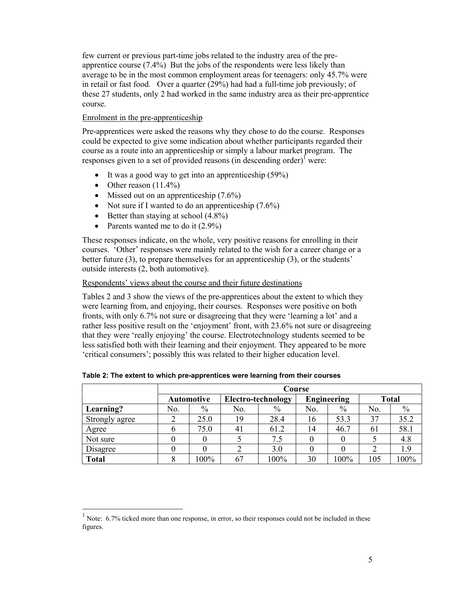few current or previous part-time jobs related to the industry area of the preapprentice course (7.4%) But the jobs of the respondents were less likely than average to be in the most common employment areas for teenagers: only 45.7% were in retail or fast food. Over a quarter (29%) had had a full-time job previously; of these 27 students, only 2 had worked in the same industry area as their pre-apprentice course.

## Enrolment in the pre-apprenticeship

Pre-apprentices were asked the reasons why they chose to do the course. Responses could be expected to give some indication about whether participants regarded their course as a route into an apprenticeship or simply a labour market program. The responses given to a set of provided reasons (in descending order)<sup> $\int$ </sup> were:

- It was a good way to get into an apprenticeship (59%)
- Other reason  $(11.4\%)$

 $\overline{a}$ 

- Missed out on an apprenticeship  $(7.6\%)$
- Not sure if I wanted to do an apprenticeship  $(7.6\%)$
- Better than staying at school  $(4.8\%)$
- Parents wanted me to do it  $(2.9\%)$

These responses indicate, on the whole, very positive reasons for enrolling in their courses. 'Other' responses were mainly related to the wish for a career change or a better future (3), to prepare themselves for an apprenticeship (3), or the students' outside interests (2, both automotive).

### Respondents' views about the course and their future destinations

Tables 2 and 3 show the views of the pre-apprentices about the extent to which they were learning from, and enjoying, their courses. Responses were positive on both fronts, with only 6.7% not sure or disagreeing that they were 'learning a lot' and a rather less positive result on the 'enjoyment' front, with 23.6% not sure or disagreeing that they were 'really enjoying' the course. Electrotechnology students seemed to be less satisfied both with their learning and their enjoyment. They appeared to be more 'critical consumers'; possibly this was related to their higher education level.

|                | Course            |      |                    |      |                    |      |              |      |
|----------------|-------------------|------|--------------------|------|--------------------|------|--------------|------|
|                | <b>Automotive</b> |      | Electro-technology |      | <b>Engineering</b> |      | <b>Total</b> |      |
| Learning?      | No.               | $\%$ | No.                | $\%$ | No.                | $\%$ | No.          | $\%$ |
| Strongly agree |                   | 25.0 | 19                 | 28.4 | 16                 | 53.3 | 37           | 35.2 |
| Agree          |                   | 75.0 | 4 <sub>1</sub>     | 61.2 | 14                 | 46.7 | 61           | 58.1 |
| Not sure       |                   |      |                    | 7.5  |                    |      |              | 4.8  |
| Disagree       |                   |      |                    | 3.0  |                    |      |              | 1.9  |
| <b>Total</b>   |                   | 100% | 67                 | 100% | 30                 | 100% | 105          | 100% |

**Table 2: The extent to which pre-apprentices were learning from their courses** 

<sup>1</sup> Note: 6.7% ticked more than one response, in error, so their responses could not be included in these figures.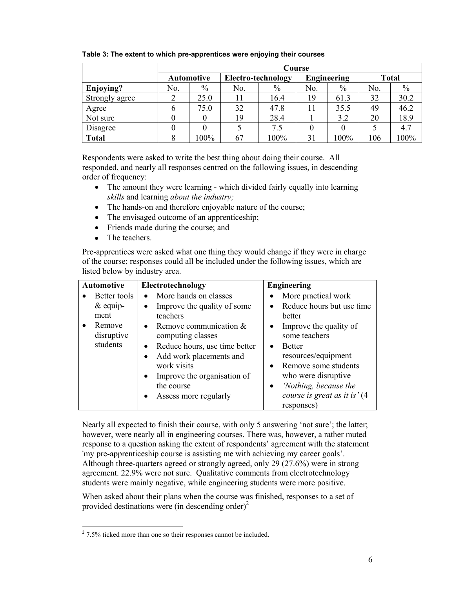|                | Course            |      |                           |      |                    |         |              |      |
|----------------|-------------------|------|---------------------------|------|--------------------|---------|--------------|------|
|                | <b>Automotive</b> |      | <b>Electro-technology</b> |      | <b>Engineering</b> |         | <b>Total</b> |      |
| Enjoying?      | No.               | $\%$ | No.                       | $\%$ | No.                | $\%$    | No.          | $\%$ |
| Strongly agree |                   | 25.0 |                           | 16.4 | 19                 | 61.3    | 32           | 30.2 |
| Agree          |                   | 75.0 | 32                        | 47.8 |                    | 35.5    | 49           | 46.2 |
| Not sure       |                   |      | 19                        | 28.4 |                    | 3.2     | 20           | 18.9 |
| Disagree       |                   |      |                           | 7.5  |                    |         |              | 4.7  |
| <b>Total</b>   |                   | 100% | 67                        | 100% | 31                 | $100\%$ | 106          | 100% |

**Table 3: The extent to which pre-apprentices were enjoying their courses** 

Respondents were asked to write the best thing about doing their course. All responded, and nearly all responses centred on the following issues, in descending order of frequency:

- The amount they were learning which divided fairly equally into learning *skills* and learning *about the industry;*
- The hands-on and therefore enjoyable nature of the course;
- The envisaged outcome of an apprenticeship;
- Friends made during the course; and
- The teachers.

Pre-apprentices were asked what one thing they would change if they were in charge of the course; responses could all be included under the following issues, which are listed below by industry area.

| <b>Automotive</b>                                                       | Electrotechnology                                                                                                                                                                                                                                                                                           | <b>Engineering</b>                                                                                                                                                                                                                                                                                                                    |
|-------------------------------------------------------------------------|-------------------------------------------------------------------------------------------------------------------------------------------------------------------------------------------------------------------------------------------------------------------------------------------------------------|---------------------------------------------------------------------------------------------------------------------------------------------------------------------------------------------------------------------------------------------------------------------------------------------------------------------------------------|
| Better tools<br>$\&$ equip-<br>ment<br>Remove<br>disruptive<br>students | More hands on classes<br>$\bullet$<br>Improve the quality of some<br>teachers<br>• Remove communication $&$<br>computing classes<br>Reduce hours, use time better<br>$\bullet$<br>Add work placements and<br>work visits<br>Improve the organisation of<br>the course<br>Assess more regularly<br>$\bullet$ | More practical work<br>$\bullet$<br>Reduce hours but use time<br>better<br>Improve the quality of<br>$\bullet$<br>some teachers<br><b>Better</b><br>$\bullet$<br>resources/equipment<br>Remove some students<br>$\bullet$<br>who were disruptive<br>'Nothing, because the<br>$\bullet$<br>course is great as it is' (4)<br>responses) |

Nearly all expected to finish their course, with only 5 answering 'not sure'; the latter; however, were nearly all in engineering courses. There was, however, a rather muted response to a question asking the extent of respondents' agreement with the statement 'my pre-apprenticeship course is assisting me with achieving my career goals'. Although three-quarters agreed or strongly agreed, only 29 (27.6%) were in strong agreement. 22.9% were not sure. Qualitative comments from electrotechnology students were mainly negative, while engineering students were more positive.

When asked about their plans when the course was finished, responses to a set of provided destinations were (in descending order)<sup>2</sup>

<sup>&</sup>lt;sup>2</sup> 7.5% ticked more than one so their responses cannot be included.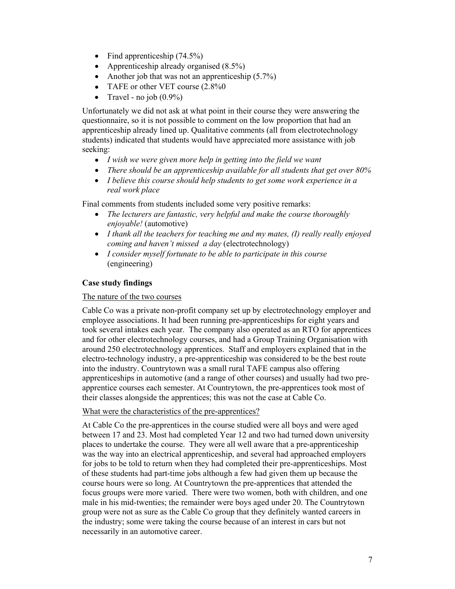- Find apprenticeship  $(74.5\%)$
- Apprenticeship already organised (8.5%)
- Another job that was not an apprenticeship  $(5.7\%)$
- TAFE or other VET course  $(2.8\%0)$
- Travel no job  $(0.9\%)$

Unfortunately we did not ask at what point in their course they were answering the questionnaire, so it is not possible to comment on the low proportion that had an apprenticeship already lined up. Qualitative comments (all from electrotechnology students) indicated that students would have appreciated more assistance with job seeking:

- *I wish we were given more help in getting into the field we want*
- *There should be an apprenticeship available for all students that get over 80%*
- *I believe this course should help students to get some work experience in a real work place*

Final comments from students included some very positive remarks:

- *The lecturers are fantastic, very helpful and make the course thoroughly enjoyable!* (automotive)
- *I thank all the teachers for teaching me and my mates, (I) really really enjoyed coming and haven't missed a day* (electrotechnology)
- *I consider myself fortunate to be able to participate in this course* (engineering)

# **Case study findings**

## The nature of the two courses

Cable Co was a private non-profit company set up by electrotechnology employer and employee associations. It had been running pre-apprenticeships for eight years and took several intakes each year. The company also operated as an RTO for apprentices and for other electrotechnology courses, and had a Group Training Organisation with around 250 electrotechnology apprentices. Staff and employers explained that in the electro-technology industry, a pre-apprenticeship was considered to be the best route into the industry. Countrytown was a small rural TAFE campus also offering apprenticeships in automotive (and a range of other courses) and usually had two preapprentice courses each semester. At Countrytown, the pre-apprentices took most of their classes alongside the apprentices; this was not the case at Cable Co.

# What were the characteristics of the pre-apprentices?

At Cable Co the pre-apprentices in the course studied were all boys and were aged between 17 and 23. Most had completed Year 12 and two had turned down university places to undertake the course. They were all well aware that a pre-apprenticeship was the way into an electrical apprenticeship, and several had approached employers for jobs to be told to return when they had completed their pre-apprenticeships. Most of these students had part-time jobs although a few had given them up because the course hours were so long. At Countrytown the pre-apprentices that attended the focus groups were more varied. There were two women, both with children, and one male in his mid-twenties; the remainder were boys aged under 20. The Countrytown group were not as sure as the Cable Co group that they definitely wanted careers in the industry; some were taking the course because of an interest in cars but not necessarily in an automotive career.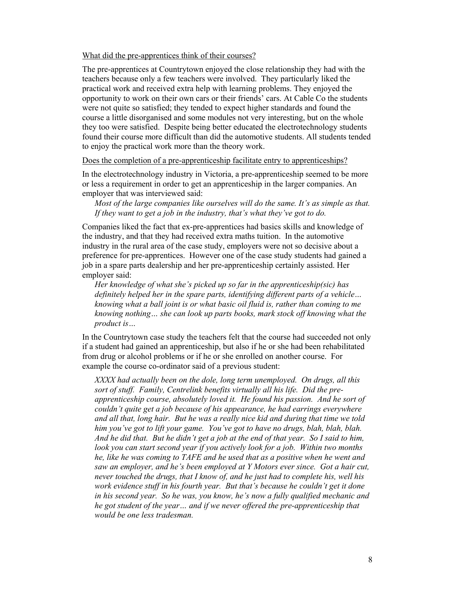#### What did the pre-apprentices think of their courses?

The pre-apprentices at Countrytown enjoyed the close relationship they had with the teachers because only a few teachers were involved. They particularly liked the practical work and received extra help with learning problems. They enjoyed the opportunity to work on their own cars or their friends' cars. At Cable Co the students were not quite so satisfied; they tended to expect higher standards and found the course a little disorganised and some modules not very interesting, but on the whole they too were satisfied. Despite being better educated the electrotechnology students found their course more difficult than did the automotive students. All students tended to enjoy the practical work more than the theory work.

Does the completion of a pre-apprenticeship facilitate entry to apprenticeships?

In the electrotechnology industry in Victoria, a pre-apprenticeship seemed to be more or less a requirement in order to get an apprenticeship in the larger companies. An employer that was interviewed said:

*Most of the large companies like ourselves will do the same. It's as simple as that. If they want to get a job in the industry, that's what they've got to do.* 

Companies liked the fact that ex-pre-apprentices had basics skills and knowledge of the industry, and that they had received extra maths tuition. In the automotive industry in the rural area of the case study, employers were not so decisive about a preference for pre-apprentices. However one of the case study students had gained a job in a spare parts dealership and her pre-apprenticeship certainly assisted. Her employer said:

*Her knowledge of what she's picked up so far in the apprenticeship(sic) has definitely helped her in the spare parts, identifying different parts of a vehicle… knowing what a ball joint is or what basic oil fluid is, rather than coming to me knowing nothing… she can look up parts books, mark stock off knowing what the product is…* 

In the Countrytown case study the teachers felt that the course had succeeded not only if a student had gained an apprenticeship, but also if he or she had been rehabilitated from drug or alcohol problems or if he or she enrolled on another course. For example the course co-ordinator said of a previous student:

*XXXX had actually been on the dole, long term unemployed. On drugs, all this sort of stuff. Family, Centrelink benefits virtually all his life. Did the preapprenticeship course, absolutely loved it. He found his passion. And he sort of couldn't quite get a job because of his appearance, he had earrings everywhere and all that, long hair. But he was a really nice kid and during that time we told him you've got to lift your game. You've got to have no drugs, blah, blah, blah. And he did that. But he didn't get a job at the end of that year. So I said to him, look you can start second year if you actively look for a job. Within two months he, like he was coming to TAFE and he used that as a positive when he went and saw an employer, and he's been employed at Y Motors ever since. Got a hair cut, never touched the drugs, that I know of, and he just had to complete his, well his work evidence stuff in his fourth year. But that's because he couldn't get it done in his second year. So he was, you know, he's now a fully qualified mechanic and he got student of the year… and if we never offered the pre-apprenticeship that would be one less tradesman.*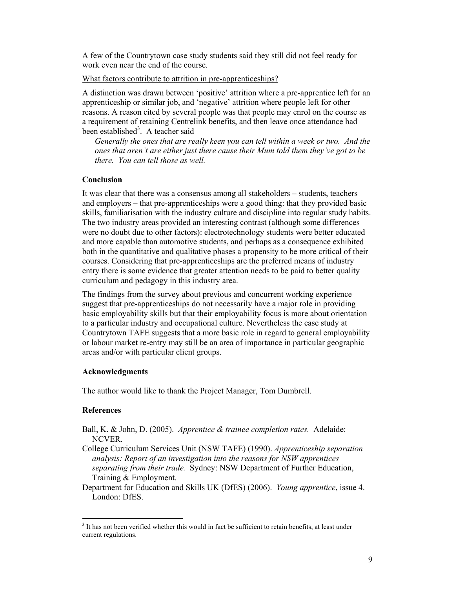A few of the Countrytown case study students said they still did not feel ready for work even near the end of the course.

#### What factors contribute to attrition in pre-apprenticeships?

A distinction was drawn between 'positive' attrition where a pre-apprentice left for an apprenticeship or similar job, and 'negative' attrition where people left for other reasons. A reason cited by several people was that people may enrol on the course as a requirement of retaining Centrelink benefits, and then leave once attendance had been established<sup>3</sup>. A teacher said

*Generally the ones that are really keen you can tell within a week or two. And the ones that aren't are either just there cause their Mum told them they've got to be there. You can tell those as well.* 

# **Conclusion**

It was clear that there was a consensus among all stakeholders – students, teachers and employers – that pre-apprenticeships were a good thing: that they provided basic skills, familiarisation with the industry culture and discipline into regular study habits. The two industry areas provided an interesting contrast (although some differences were no doubt due to other factors): electrotechnology students were better educated and more capable than automotive students, and perhaps as a consequence exhibited both in the quantitative and qualitative phases a propensity to be more critical of their courses. Considering that pre-apprenticeships are the preferred means of industry entry there is some evidence that greater attention needs to be paid to better quality curriculum and pedagogy in this industry area.

The findings from the survey about previous and concurrent working experience suggest that pre-apprenticeships do not necessarily have a major role in providing basic employability skills but that their employability focus is more about orientation to a particular industry and occupational culture. Nevertheless the case study at Countrytown TAFE suggests that a more basic role in regard to general employability or labour market re-entry may still be an area of importance in particular geographic areas and/or with particular client groups.

### **Acknowledgments**

The author would like to thank the Project Manager, Tom Dumbrell.

### **References**

- Ball, K. & John, D. (2005). *Apprentice & trainee completion rates.* Adelaide: NCVER.
- College Curriculum Services Unit (NSW TAFE) (1990). *Apprenticeship separation analysis: Report of an investigation into the reasons for NSW apprentices separating from their trade.* Sydney: NSW Department of Further Education, Training & Employment.
- Department for Education and Skills UK (DfES) (2006). *Young apprentice*, issue 4. London<sup>·</sup> DfES

l <sup>3</sup> It has not been verified whether this would in fact be sufficient to retain benefits, at least under current regulations.